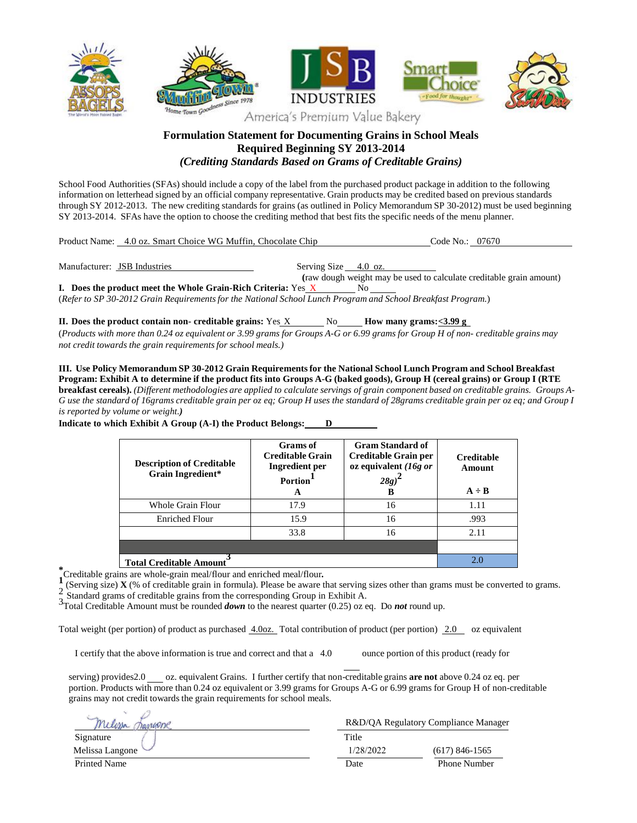

## **Formulation Statement for Documenting Grains in School Meals Required Beginning SY 2013-2014** *(Crediting Standards Based on Grams of Creditable Grains)*

School Food Authorities (SFAs) should include a copy of the label from the purchased product package in addition to the following information on letterhead signed by an official company representative. Grain products may be credited based on previous standards through SY 2012-2013. The new crediting standards for grains (as outlined in Policy Memorandum SP 30-2012) must be used beginning SY 2013-2014. SFAs have the option to choose the crediting method that best fits the specific needs of the menu planner.

Product Name: 4.0 oz. Smart Choice WG Muffin, Chocolate Chip Code No.: 07670

Manufacturer: JSB Industries Serving Size 4.0 oz. **(**raw dough weight may be used to calculate creditable grain amount)

**I. Does the product meet the Whole Grain-Rich Criteria:** Yes X No (*Refer to SP 30-2012 Grain Requirementsfor the National School Lunch Program and School Breakfast Program.*)

**II.** Does the product contain non- creditable grains: Yes X No **Howe However** How many grams:  $\leq 3.99 \text{ g}$ (Products with more than 0.24 oz equivalent or 3.99 grams for Groups A-G or 6.99 grams for Group H of non- creditable grains may *not credit towards the grain requirementsfor school meals.)*

**III. Use Policy Memorandum SP 30-2012 Grain Requirementsfor the National School Lunch Program and School Breakfast** Program: Exhibit A to determine if the product fits into Groups A-G (baked goods), Group H (cereal grains) or Group I (RTE breakfast cereals). (Different methodologies are applied to calculate servings of grain component based on creditable grains. Groups A-G use the standard of 16grams creditable grain per oz eq; Group H uses the standard of 28grams creditable grain per oz eq; and Group I *is reported by volume or weight.)*

> **Description of Creditable Grain Ingredient\* Grams of Creditable Grain Ingredient per Portion 1 A Gram Standard of Creditable Grain per oz equivalent** *(16g or 28g)* **2 B Creditable Amount**  $A \div B$ Whole Grain Flour  $\begin{array}{ccc} \hline \end{array}$  17.9 1.11 16 1.11 Enriched Flour 15.9 16 16 .993 33.8 16 2.11 **Total Creditable Amount 3** 2.0

**Indicate to which Exhibit A Group (A-I) the Product Belongs: D**

\***Creditable grains are whole-grain meal/flour and enriched meal/flour.<br>
<b>1** (Serving size) **Y** (% of creditable grain in formula). Please be aware to

(Serving size) **X** (% of creditable grain in formula). Please be aware that serving sizes other than grams must be converted to grams.

2 Standard grams of creditable grains from the corresponding Group in Exhibit A.

3Total Creditable Amount must be rounded *down* to the nearest quarter (0.25) oz eq. Do *not* round up.

Total weight (per portion) of product as purchased  $\frac{4.00z}{\cdot}$  Total contribution of product (per portion) 2.0 oz equivalent

I certify that the above information is true and correct and that a 4.0 ounce portion of this product (ready for

serving) provides2.0 oz. equivalent Grains. I further certify that non-creditable grains **are not** above 0.24 oz eq. per portion. Products with more than 0.24 oz equivalent or 3.99 grams for Groups A-G or 6.99 grams for Group H of non-creditable grains may not credit towards the grain requirements for school meals.

| Wesse               | R&D/QA Regulatory Compliance Manager |                     |
|---------------------|--------------------------------------|---------------------|
| Signature           | Title                                |                     |
| Melissa Langone     | 1/28/2022                            | $(617)$ 846-1565    |
| <b>Printed Name</b> | Date                                 | <b>Phone Number</b> |